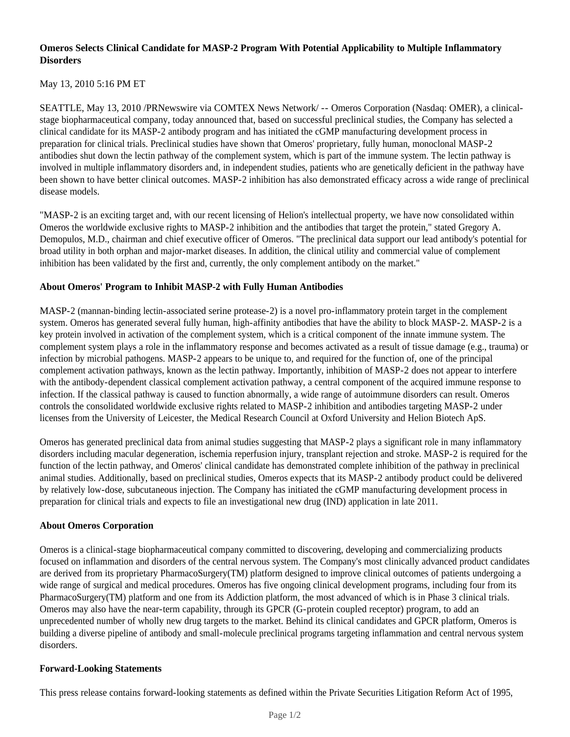# **Omeros Selects Clinical Candidate for MASP-2 Program With Potential Applicability to Multiple Inflammatory Disorders**

## May 13, 2010 5:16 PM ET

SEATTLE, May 13, 2010 /PRNewswire via COMTEX News Network/ -- Omeros Corporation (Nasdaq: OMER), a clinicalstage biopharmaceutical company, today announced that, based on successful preclinical studies, the Company has selected a clinical candidate for its MASP-2 antibody program and has initiated the cGMP manufacturing development process in preparation for clinical trials. Preclinical studies have shown that Omeros' proprietary, fully human, monoclonal MASP-2 antibodies shut down the lectin pathway of the complement system, which is part of the immune system. The lectin pathway is involved in multiple inflammatory disorders and, in independent studies, patients who are genetically deficient in the pathway have been shown to have better clinical outcomes. MASP-2 inhibition has also demonstrated efficacy across a wide range of preclinical disease models.

"MASP-2 is an exciting target and, with our recent licensing of Helion's intellectual property, we have now consolidated within Omeros the worldwide exclusive rights to MASP-2 inhibition and the antibodies that target the protein," stated Gregory A. Demopulos, M.D., chairman and chief executive officer of Omeros. "The preclinical data support our lead antibody's potential for broad utility in both orphan and major-market diseases. In addition, the clinical utility and commercial value of complement inhibition has been validated by the first and, currently, the only complement antibody on the market."

### **About Omeros' Program to Inhibit MASP-2 with Fully Human Antibodies**

MASP-2 (mannan-binding lectin-associated serine protease-2) is a novel pro-inflammatory protein target in the complement system. Omeros has generated several fully human, high-affinity antibodies that have the ability to block MASP-2. MASP-2 is a key protein involved in activation of the complement system, which is a critical component of the innate immune system. The complement system plays a role in the inflammatory response and becomes activated as a result of tissue damage (e.g., trauma) or infection by microbial pathogens. MASP-2 appears to be unique to, and required for the function of, one of the principal complement activation pathways, known as the lectin pathway. Importantly, inhibition of MASP-2 does not appear to interfere with the antibody-dependent classical complement activation pathway, a central component of the acquired immune response to infection. If the classical pathway is caused to function abnormally, a wide range of autoimmune disorders can result. Omeros controls the consolidated worldwide exclusive rights related to MASP-2 inhibition and antibodies targeting MASP-2 under licenses from the University of Leicester, the Medical Research Council at Oxford University and Helion Biotech ApS.

Omeros has generated preclinical data from animal studies suggesting that MASP-2 plays a significant role in many inflammatory disorders including macular degeneration, ischemia reperfusion injury, transplant rejection and stroke. MASP-2 is required for the function of the lectin pathway, and Omeros' clinical candidate has demonstrated complete inhibition of the pathway in preclinical animal studies. Additionally, based on preclinical studies, Omeros expects that its MASP-2 antibody product could be delivered by relatively low-dose, subcutaneous injection. The Company has initiated the cGMP manufacturing development process in preparation for clinical trials and expects to file an investigational new drug (IND) application in late 2011.

### **About Omeros Corporation**

Omeros is a clinical-stage biopharmaceutical company committed to discovering, developing and commercializing products focused on inflammation and disorders of the central nervous system. The Company's most clinically advanced product candidates are derived from its proprietary PharmacoSurgery(TM) platform designed to improve clinical outcomes of patients undergoing a wide range of surgical and medical procedures. Omeros has five ongoing clinical development programs, including four from its PharmacoSurgery(TM) platform and one from its Addiction platform, the most advanced of which is in Phase 3 clinical trials. Omeros may also have the near-term capability, through its GPCR (G-protein coupled receptor) program, to add an unprecedented number of wholly new drug targets to the market. Behind its clinical candidates and GPCR platform, Omeros is building a diverse pipeline of antibody and small-molecule preclinical programs targeting inflammation and central nervous system disorders.

### **Forward-Looking Statements**

This press release contains forward-looking statements as defined within the Private Securities Litigation Reform Act of 1995,